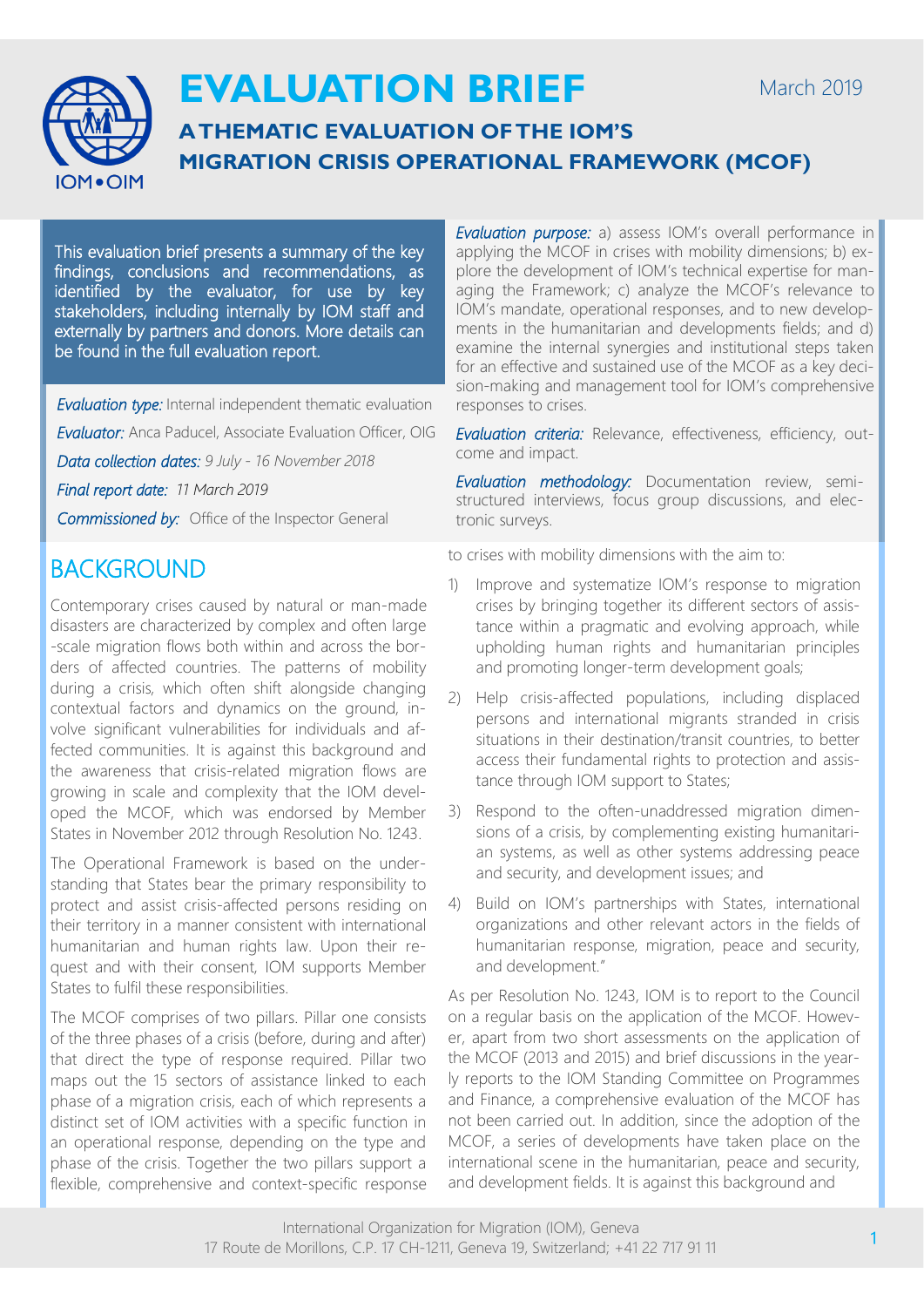

# **EVALUATION BRIEF**

# **A THEMATIC EVALUATION OF THE IOM'S MIGRATION CRISIS OPERATIONAL FRAMEWORK (MCOF)**

This evaluation brief presents a summary of the key findings, conclusions and recommendations, as identified by the evaluator, for use by key stakeholders, including internally by IOM staff and externally by partners and donors. More details can be found in the full evaluation report.

*Evaluation type:* Internal independent thematic evaluation

*Evaluator:* Anca Paducel, Associate Evaluation Officer, OIG

*Data collection dates: 9 July - 16 November 2018*

*Final report date: 11 March 2019*

*Commissioned by:* Office of the Inspector General

# **BACKGROUND**

Contemporary crises caused by natural or man-made disasters are characterized by complex and often large -scale migration flows both within and across the borders of affected countries. The patterns of mobility during a crisis, which often shift alongside changing contextual factors and dynamics on the ground, involve significant vulnerabilities for individuals and affected communities. It is against this background and the awareness that crisis-related migration flows are growing in scale and complexity that the IOM developed the MCOF, which was endorsed by Member States in November 2012 through Resolution No. 1243.

The Operational Framework is based on the understanding that States bear the primary responsibility to protect and assist crisis-affected persons residing on their territory in a manner consistent with international humanitarian and human rights law. Upon their request and with their consent, IOM supports Member States to fulfil these responsibilities.

The MCOF comprises of two pillars. Pillar one consists of the three phases of a crisis (before, during and after) that direct the type of response required. Pillar two maps out the 15 sectors of assistance linked to each phase of a migration crisis, each of which represents a distinct set of IOM activities with a specific function in an operational response, depending on the type and phase of the crisis. Together the two pillars support a flexible, comprehensive and context-specific response

*Evaluation purpose: a)* assess IOM's overall performance in applying the MCOF in crises with mobility dimensions; b) explore the development of IOM's technical expertise for managing the Framework; c) analyze the MCOF's relevance to IOM's mandate, operational responses, and to new developments in the humanitarian and developments fields; and d) examine the internal synergies and institutional steps taken for an effective and sustained use of the MCOF as a key decision-making and management tool for IOM's comprehensive responses to crises.

*Evaluation criteria:* Relevance, effectiveness, efficiency, outcome and impact.

*Evaluation methodology:* Documentation review, semistructured interviews, focus group discussions, and electronic surveys.

to crises with mobility dimensions with the aim to:

- 1) Improve and systematize IOM's response to migration crises by bringing together its different sectors of assistance within a pragmatic and evolving approach, while upholding human rights and humanitarian principles and promoting longer-term development goals;
- 2) Help crisis-affected populations, including displaced persons and international migrants stranded in crisis situations in their destination/transit countries, to better access their fundamental rights to protection and assistance through IOM support to States;
- 3) Respond to the often-unaddressed migration dimensions of a crisis, by complementing existing humanitarian systems, as well as other systems addressing peace and security, and development issues; and
- 4) Build on IOM's partnerships with States, international organizations and other relevant actors in the fields of humanitarian response, migration, peace and security, and development."

As per Resolution No. 1243, IOM is to report to the Council on a regular basis on the application of the MCOF. However, apart from two short assessments on the application of the MCOF (2013 and 2015) and brief discussions in the yearly reports to the IOM Standing Committee on Programmes and Finance, a comprehensive evaluation of the MCOF has not been carried out. In addition, since the adoption of the MCOF, a series of developments have taken place on the international scene in the humanitarian, peace and security, and development fields. It is against this background and